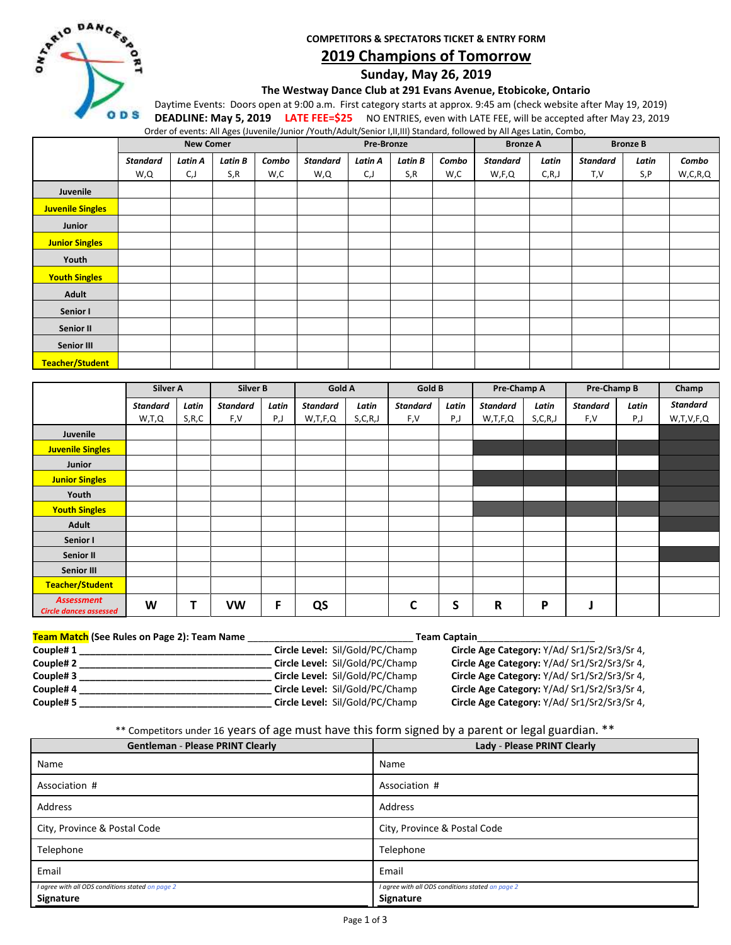

#### **COMPETITORS & SPECTATORS TICKET & ENTRY FORM**

## **2019 Champions of Tomorrow**

### **Sunday, May 26, 2019**

#### **The Westway Dance Club at 291 Evans Avenue, Etobicoke, Ontario**

Daytime Events: Doors open at 9:00 a.m. First category starts at approx. 9:45 am (check website after May 19, 2019) **DEADLINE: May 5, 2019 LATE FEE=\$25** NO ENTRIES, even with LATE FEE, will be accepted after May 23, 2019

Order of events: All Ages (Juvenile/Junior /Youth/Adult/Senior I,II,III) Standard, followed by All Ages Latin, Combo,

|                         | <b>New Comer</b> |                |                | Pre-Bronze |                 |                | <b>Bronze A</b> |       | <b>Bronze B</b> |         |          |       |         |
|-------------------------|------------------|----------------|----------------|------------|-----------------|----------------|-----------------|-------|-----------------|---------|----------|-------|---------|
|                         | <b>Standard</b>  | <b>Latin A</b> | <b>Latin B</b> | Combo      | <b>Standard</b> | <b>Latin A</b> | <b>Latin B</b>  | Combo | <b>Standard</b> | Latin   | Standard | Latin | Combo   |
|                         | W,Q              | C,J            | S,R            | W,C        | W,Q             | C,J            | S,R             | W,C   | W,F,Q           | C, R, J | T,V      | S,P   | W,C,R,Q |
| Juvenile                |                  |                |                |            |                 |                |                 |       |                 |         |          |       |         |
| <b>Juvenile Singles</b> |                  |                |                |            |                 |                |                 |       |                 |         |          |       |         |
| Junior                  |                  |                |                |            |                 |                |                 |       |                 |         |          |       |         |
| <b>Junior Singles</b>   |                  |                |                |            |                 |                |                 |       |                 |         |          |       |         |
| Youth                   |                  |                |                |            |                 |                |                 |       |                 |         |          |       |         |
| <b>Youth Singles</b>    |                  |                |                |            |                 |                |                 |       |                 |         |          |       |         |
| Adult                   |                  |                |                |            |                 |                |                 |       |                 |         |          |       |         |
| Senior I                |                  |                |                |            |                 |                |                 |       |                 |         |          |       |         |
| Senior II               |                  |                |                |            |                 |                |                 |       |                 |         |          |       |         |
| Senior III              |                  |                |                |            |                 |                |                 |       |                 |         |          |       |         |
| Teacher/Student         |                  |                |                |            |                 |                |                 |       |                 |         |          |       |         |

|                                                    | Silver A        |         | Silver B        |       | Gold A          |            | Gold B          |       | Pre-Champ A     |            | Pre-Champ B     |       | Champ           |
|----------------------------------------------------|-----------------|---------|-----------------|-------|-----------------|------------|-----------------|-------|-----------------|------------|-----------------|-------|-----------------|
|                                                    | <b>Standard</b> | Latin   | <b>Standard</b> | Latin | <b>Standard</b> | Latin      | <b>Standard</b> | Latin | <b>Standard</b> | Latin      | <b>Standard</b> | Latin | <b>Standard</b> |
|                                                    | W,T,Q           | S, R, C | F,V             | P,J   | W,T,F,Q         | S, C, R, J | F,V             | P,J   | W,T,F,Q         | S, C, R, J | F,V             | P,J   | W,T,V,F,Q       |
| Juvenile                                           |                 |         |                 |       |                 |            |                 |       |                 |            |                 |       |                 |
| <b>Juvenile Singles</b>                            |                 |         |                 |       |                 |            |                 |       |                 |            |                 |       |                 |
| Junior                                             |                 |         |                 |       |                 |            |                 |       |                 |            |                 |       |                 |
| <b>Junior Singles</b>                              |                 |         |                 |       |                 |            |                 |       |                 |            |                 |       |                 |
| Youth                                              |                 |         |                 |       |                 |            |                 |       |                 |            |                 |       |                 |
| <b>Youth Singles</b>                               |                 |         |                 |       |                 |            |                 |       |                 |            |                 |       |                 |
| <b>Adult</b>                                       |                 |         |                 |       |                 |            |                 |       |                 |            |                 |       |                 |
| Senior I                                           |                 |         |                 |       |                 |            |                 |       |                 |            |                 |       |                 |
| <b>Senior II</b>                                   |                 |         |                 |       |                 |            |                 |       |                 |            |                 |       |                 |
| <b>Senior III</b>                                  |                 |         |                 |       |                 |            |                 |       |                 |            |                 |       |                 |
| <b>Teacher/Student</b>                             |                 |         |                 |       |                 |            |                 |       |                 |            |                 |       |                 |
| <b>Assessment</b><br><b>Circle dances assessed</b> | W               | ÷       | VW              | F     | QS              |            | C               | S     | R               | P          | J               |       |                 |

| <b>Team Match (See Rules on Page 2): Team Name</b> | <b>Team Captain</b>             |                                              |  |  |  |
|----------------------------------------------------|---------------------------------|----------------------------------------------|--|--|--|
| Couple#1                                           | Circle Level: Sil/Gold/PC/Champ | Circle Age Category: Y/Ad/ Sr1/Sr2/Sr3/Sr 4, |  |  |  |
| Couple# 2                                          | Circle Level: Sil/Gold/PC/Champ | Circle Age Category: Y/Ad/ Sr1/Sr2/Sr3/Sr 4, |  |  |  |
| Couple#3                                           | Circle Level: Sil/Gold/PC/Champ | Circle Age Category: Y/Ad/ Sr1/Sr2/Sr3/Sr 4, |  |  |  |
| Couple#4                                           | Circle Level: Sil/Gold/PC/Champ | Circle Age Category: Y/Ad/ Sr1/Sr2/Sr3/Sr 4, |  |  |  |
| Couple# 5                                          | Circle Level: Sil/Gold/PC/Champ | Circle Age Category: Y/Ad/ Sr1/Sr2/Sr3/Sr 4, |  |  |  |

#### \*\* Competitors under 16 years of age must have this form signed by a parent or legal guardian. \*\*

| <b>Gentleman - Please PRINT Clearly</b>                       | Lady - Please PRINT Clearly                                   |
|---------------------------------------------------------------|---------------------------------------------------------------|
| Name                                                          | Name                                                          |
| Association #                                                 | Association #                                                 |
| Address                                                       | Address                                                       |
| City, Province & Postal Code                                  | City, Province & Postal Code                                  |
| Telephone                                                     | Telephone                                                     |
| Email                                                         | Email                                                         |
| I agree with all ODS conditions stated on page 2<br>Signature | I agree with all ODS conditions stated an page 2<br>Signature |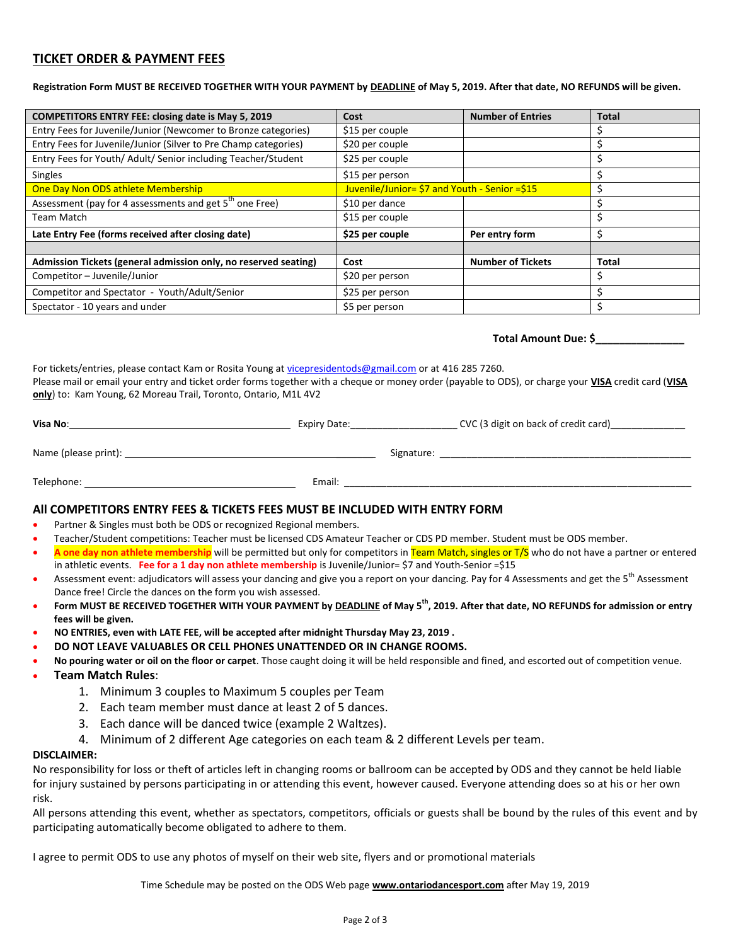### **TICKET ORDER & PAYMENT FEES**

#### **Registration Form MUST BE RECEIVED TOGETHER WITH YOUR PAYMENT by DEADLINE of May 5, 2019. After that date, NO REFUNDS will be given.**

| <b>COMPETITORS ENTRY FEE: closing date is May 5, 2019</b>           | Cost                                           | <b>Number of Entries</b> | <b>Total</b> |
|---------------------------------------------------------------------|------------------------------------------------|--------------------------|--------------|
| Entry Fees for Juvenile/Junior (Newcomer to Bronze categories)      | \$15 per couple                                |                          |              |
| Entry Fees for Juvenile/Junior (Silver to Pre Champ categories)     | \$20 per couple                                |                          |              |
| Entry Fees for Youth/ Adult/ Senior including Teacher/Student       | \$25 per couple                                |                          |              |
| <b>Singles</b>                                                      | \$15 per person                                |                          |              |
| One Day Non ODS athlete Membership                                  | Juvenile/Junior= \$7 and Youth - Senior = \$15 |                          |              |
| Assessment (pay for 4 assessments and get 5 <sup>th</sup> one Free) | \$10 per dance                                 |                          |              |
| Team Match                                                          | \$15 per couple                                |                          |              |
| Late Entry Fee (forms received after closing date)                  | \$25 per couple                                | Per entry form           |              |
|                                                                     |                                                |                          |              |
| Admission Tickets (general admission only, no reserved seating)     | Cost                                           | <b>Number of Tickets</b> | <b>Total</b> |
| Competitor - Juvenile/Junior                                        | \$20 per person                                |                          |              |
| Competitor and Spectator - Youth/Adult/Senior                       | \$25 per person                                |                          |              |
| Spectator - 10 years and under                                      | \$5 per person                                 |                          |              |

 **Total Amount Due: \$\_\_\_\_\_\_\_\_\_\_\_\_\_\_\_**

For tickets/entries, please contact Kam or Rosita Young a[t vicepresidentods@gmail.com](mailto:vicepresidentods@gmail.com) or at 416 285 7260. Please mail or email your entry and ticket order forms together with a cheque or money order (payable to ODS), or charge your **VISA** credit card (**VISA only**) to: Kam Young, 62 Moreau Trail, Toronto, Ontario, M1L 4V2

| Visa No:             | Expiry Date: |            | CVC (3 digit on back of credit card) |
|----------------------|--------------|------------|--------------------------------------|
| Name (please print): |              | Signature: |                                      |
| Telephone:           | Email:       |            |                                      |

#### **All COMPETITORS ENTRY FEES & TICKETS FEES MUST BE INCLUDED WITH ENTRY FORM**

- Partner & Singles must both be ODS or recognized Regional members.
- Teacher/Student competitions: Teacher must be licensed CDS Amateur Teacher or CDS PD member. Student must be ODS member.
- A one day non athlete membership will be permitted but only for competitors in Team Match, singles or T/S who do not have a partner or entered in athletic events. **Fee for a 1 day non athlete membership** is Juvenile/Junior= \$7 and Youth-Senior =\$15
- Assessment event: adjudicators will assess your dancing and give you a report on your dancing. Pay for 4 Assessments and get the 5<sup>th</sup> Assessment Dance free! Circle the dances on the form you wish assessed.
- **Form MUST BE RECEIVED TOGETHER WITH YOUR PAYMENT by DEADLINE of May 5th, 2019. After that date, NO REFUNDS for admission or entry fees will be given.**
- **NO ENTRIES, even with LATE FEE, will be accepted after midnight Thursday May 23, 2019 .**
- **DO NOT LEAVE VALUABLES OR CELL PHONES UNATTENDED OR IN CHANGE ROOMS.**
- **No pouring water or oil on the floor or carpet**. Those caught doing it will be held responsible and fined, and escorted out of competition venue.
- **Team Match Rules**:
	- 1. Minimum 3 couples to Maximum 5 couples per Team
	- 2. Each team member must dance at least 2 of 5 dances.
	- 3. Each dance will be danced twice (example 2 Waltzes).
	- 4. Minimum of 2 different Age categories on each team & 2 different Levels per team.

#### **DISCLAIMER:**

No responsibility for loss or theft of articles left in changing rooms or ballroom can be accepted by ODS and they cannot be held liable for injury sustained by persons participating in or attending this event, however caused. Everyone attending does so at his or her own risk.

All persons attending this event, whether as spectators, competitors, officials or guests shall be bound by the rules of this event and by participating automatically become obligated to adhere to them.

I agree to permit ODS to use any photos of myself on their web site, flyers and or promotional materials

Time Schedule may be posted on the ODS Web page **www.ontariodancesport.com** after May 19, 2019